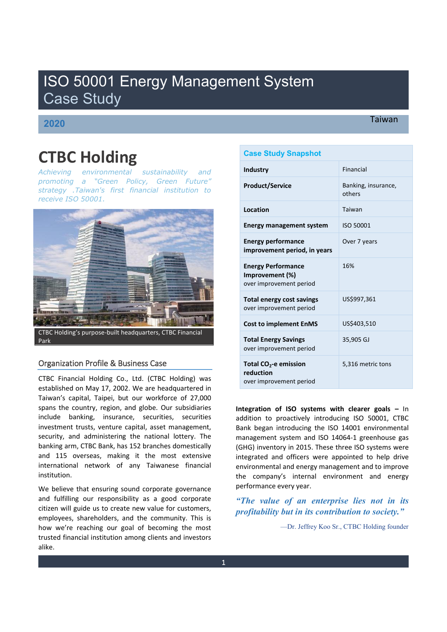# ISO 50001 Energy Management System Case Study

# **2020**

## Taiwan

# **CTBC Holding**

*Achieving environmental sustainability and*  promoting a "Green Policy, Green Future" *strategy .Taiwan's first financial institution to receive ISO 50001.*



CTBC Holding͛Ɛ purpose-built headquarters, CTBC Financial Park

### Organization Profile & Business Case

CTBC Financial Holding Co., Ltd. (CTBC Holding) was established on May 17, 2002. We are headquartered in Taiwan's capital, Taipei, but our workforce of 27,000 spans the country, region, and globe. Our subsidiaries include banking, insurance, securities, securities investment trusts, venture capital, asset management, security, and administering the national lottery. The banking arm, CTBC Bank, has 152 branches domestically and 115 overseas, making it the most extensive international network of any Taiwanese financial institution.

We believe that ensuring sound corporate governance and fulfilling our responsibility as a good corporate citizen will guide us to create new value for customers, employees, shareholders, and the community. This is how we're reaching our goal of becoming the most trusted financial institution among clients and investors alike.

## **Case Study Snapshot**

| <b>Industry</b>                                                         | <b>Financial</b>              |
|-------------------------------------------------------------------------|-------------------------------|
| <b>Product/Service</b>                                                  | Banking, insurance,<br>others |
| Location                                                                | Taiwan                        |
| <b>Energy management system</b>                                         | ISO 50001                     |
| <b>Energy performance</b><br>improvement period, in years               | Over 7 years                  |
| <b>Energy Performance</b><br>Improvement (%)<br>over improvement period | 16%                           |
| Total energy cost savings<br>over improvement period                    | US\$997,361                   |
| <b>Cost to implement EnMS</b>                                           | US\$403,510                   |
| <b>Total Energy Savings</b><br>over improvement period                  | 35,905 GJ                     |
| Total $CO2$ -e emission<br>reduction<br>over improvement period         | 5,316 metric tons             |

**Integration of ISO systems with clearer goals - In** addition to proactively introducing ISO 50001, CTBC Bank began introducing the ISO 14001 environmental management system and ISO 14064-1 greenhouse gas (GHG) inventory in 2015. These three ISO systems were integrated and officers were appointed to help drive environmental and energy management and to improve the company's internal environment and energy performance every year.

*a<sub>r</sub> The value of an enterprise lies not in its profitability but in its contribution to society.*"

²Dr. Jeffrey Koo Sr., CTBC Holding founder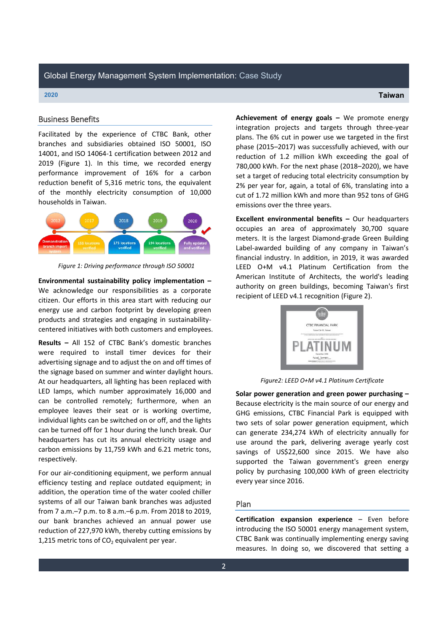### Global Energy Management System Implementation: Case Study

#### **2020 Taiwan**

# Business Benefits

Facilitated by the experience of CTBC Bank, other branches and subsidiaries obtained ISO 50001, ISO 14001, and ISO 14064-1 certification between 2012 and 2019 (Figure 1). In this time, we recorded energy performance improvement of 16% for a carbon reduction benefit of 5,316 metric tons, the equivalent of the monthly electricity consumption of 10,000 households in Taiwan.



*Figure 1: Driving performance through ISO 50001*

Environmental sustainability policy implementation -We acknowledge our responsibilities as a corporate citizen. Our efforts in this area start with reducing our energy use and carbon footprint by developing green products and strategies and engaging in sustainabilitycentered initiatives with both customers and employees.

**Results** - All 152 of CTBC Bank's domestic branches were required to install timer devices for their advertising signage and to adjust the on and off times of the signage based on summer and winter daylight hours. At our headquarters, all lighting has been replaced with LED lamps, which number approximately 16,000 and can be controlled remotely; furthermore, when an employee leaves their seat or is working overtime, individual lights can be switched on or off, and the lights can be turned off for 1 hour during the lunch break. Our headquarters has cut its annual electricity usage and carbon emissions by 11,759 kWh and 6.21 metric tons, respectively.

For our air-conditioning equipment, we perform annual efficiency testing and replace outdated equipment; in addition, the operation time of the water cooled chiller systems of all our Taiwan bank branches was adjusted from 7 a.m.–7 p.m. to 8 a.m.–6 p.m. From 2018 to 2019, our bank branches achieved an annual power use reduction of 227,970 kWh, thereby cutting emissions by 1,215 metric tons of  $CO<sub>2</sub>$  equivalent per year.

**Achievement of energy goals - We promote energy** integration projects and targets through three-year plans. The 6% cut in power use we targeted in the first phase (2015-2017) was successfully achieved, with our reduction of 1.2 million kWh exceeding the goal of 780,000 kWh. For the next phase (2018-2020), we have set a target of reducing total electricity consumption by 2% per year for, again, a total of 6%, translating into a cut of 1.72 million kWh and more than 952 tons of GHG emissions over the three years.

**Excellent environmental benefits** - Our headquarters occupies an area of approximately 30,700 square meters. It is the largest Diamond-grade Green Building Label-awarded building of any company in Taiwan's financial industry. In addition, in 2019, it was awarded LEED O+M v4.1 Platinum Certification from the American Institute of Architects, the world's leading authority on green buildings, becoming Taiwan's first recipient of LEED v4.1 recognition (Figure 2).



*Figure2: LEED O+M v4.1 Platinum Certificate*

**Solar power generation and green power purchasing –** Because electricity is the main source of our energy and GHG emissions, CTBC Financial Park is equipped with two sets of solar power generation equipment, which can generate 234,274 kWh of electricity annually for use around the park, delivering average yearly cost savings of US\$22,600 since 2015. We have also supported the Taiwan government's green energy policy by purchasing 100,000 kWh of green electricity every year since 2016.

#### Plan

**Certification expansion experience - Even before** introducing the ISO 50001 energy management system, CTBC Bank was continually implementing energy saving measures. In doing so, we discovered that setting a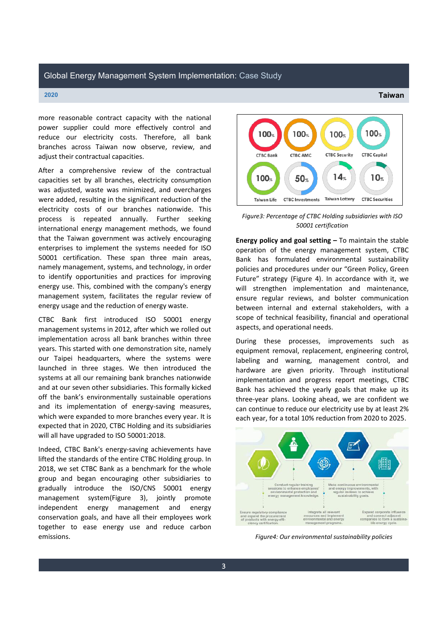more reasonable contract capacity with the national power supplier could more effectively control and reduce our electricity costs. Therefore, all bank branches across Taiwan now observe, review, and adjust their contractual capacities.

After a comprehensive review of the contractual capacities set by all branches, electricity consumption was adjusted, waste was minimized, and overcharges were added, resulting in the significant reduction of the electricity costs of our branches nationwide. This process is repeated annually. Further seeking international energy management methods, we found that the Taiwan government was actively encouraging enterprises to implement the systems needed for ISO 50001 certification. These span three main areas, namely management, systems, and technology, in order to identify opportunities and practices for improving energy use. This, combined with the company's energy management system, facilitates the regular review of energy usage and the reduction of energy waste.

CTBC Bank first introduced ISO 50001 energy management systems in 2012, after which we rolled out implementation across all bank branches within three years. This started with one demonstration site, namely our Taipei headquarters, where the systems were launched in three stages. We then introduced the systems at all our remaining bank branches nationwide and at our seven other subsidiaries. This formally kicked off the bank's environmentally sustainable operations and its implementation of energy-saving measures, which were expanded to more branches every year. It is expected that in 2020, CTBC Holding and its subsidiaries will all have upgraded to ISO 50001:2018.

Indeed, CTBC Bank's energy-saving achievements have lifted the standards of the entire CTBC Holding group. In 2018, we set CTBC Bank as a benchmark for the whole group and began encouraging other subsidiaries to gradually introduce the ISO/CNS 50001 energy management system(Figure 3), jointly promote independent energy management and energy conservation goals, and have all their employees work together to ease energy use and reduce carbon emissions.



*Figure3: Percentage of CTBC Holding subsidiaries with ISO 50001 certification*

**Energy policy and goal setting** – To maintain the stable operation of the energy management system, CTBC Bank has formulated environmental sustainability policies and procedures under our "Green Policy, Green Future" strategy (Figure 4). In accordance with it, we will strengthen implementation and maintenance, ensure regular reviews, and bolster communication between internal and external stakeholders, with a scope of technical feasibility, financial and operational aspects, and operational needs.

During these processes, improvements such as equipment removal, replacement, engineering control, labeling and warning, management control, and hardware are given priority. Through institutional implementation and progress report meetings, CTBC Bank has achieved the yearly goals that make up its three-year plans. Looking ahead, we are confident we can continue to reduce our electricity use by at least 2% each year, for a total 10% reduction from 2020 to 2025.



*Figure4: Our environmental sustainability policies*

**2020 Taiwan**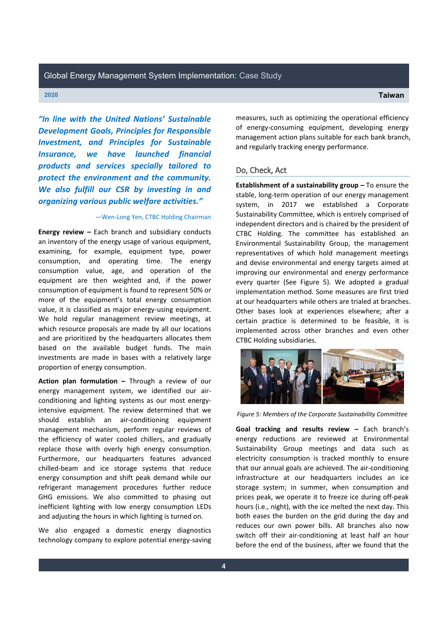"In line with the United Nations' Sustainable *Development Goals, Principles for Responsible Investment, and Principles for Sustainable Insurance, we have launched financial products and services specially tailored to protect the environment and the community. We also fulfill our CSR by investing in and*  organizing various public welfare activities."

#### **-Wen-Long Yen, CTBC Holding Chairman**

**Energy review - Each branch and subsidiary conducts** an inventory of the energy usage of various equipment, examining, for example, equipment type, power consumption, and operating time. The energy consumption value, age, and operation of the equipment are then weighted and, if the power consumption of equipment is found to represent 50% or more of the equipment's total energy consumption value, it is classified as major energy-using equipment. We hold regular management review meetings, at which resource proposals are made by all our locations and are prioritized by the headquarters allocates them based on the available budget funds. The main investments are made in bases with a relatively large proportion of energy consumption.

**Action plan formulation - Through a review of our** energy management system, we identified our airconditioning and lighting systems as our most energyintensive equipment. The review determined that we should establish an air-conditioning equipment management mechanism, perform regular reviews of the efficiency of water cooled chillers, and gradually replace those with overly high energy consumption. Furthermore, our headquarters features advanced chilled-beam and ice storage systems that reduce energy consumption and shift peak demand while our refrigerant management procedures further reduce GHG emissions. We also committed to phasing out inefficient lighting with low energy consumption LEDs and adjusting the hours in which lighting is turned on.

We also engaged a domestic energy diagnostics technology company to explore potential energy-saving measures, such as optimizing the operational efficiency of energy-consuming equipment, developing energy management action plans suitable for each bank branch, and regularly tracking energy performance.

#### Do, Check, Act

**Establishment of a sustainability group** - To ensure the stable, long-term operation of our energy management system, in 2017 we established a Corporate Sustainability Committee, which is entirely comprised of independent directors and is chaired by the president of CTBC Holding. The committee has established an Environmental Sustainability Group, the management representatives of which hold management meetings and devise environmental and energy targets aimed at improving our environmental and energy performance every quarter (See Figure 5). We adopted a gradual implementation method. Some measures are first tried at our headquarters while others are trialed at branches. Other bases look at experiences elsewhere; after a certain practice is determined to be feasible, it is implemented across other branches and even other CTBC Holding subsidiaries.



*Figure 5: Members of the Corporate Sustainability Committee*

**Goal tracking and results review - Each branch's** energy reductions are reviewed at Environmental Sustainability Group meetings and data such as electricity consumption is tracked monthly to ensure that our annual goals are achieved. The air-conditioning infrastructure at our headquarters includes an ice storage system; in summer, when consumption and prices peak, we operate it to freeze ice during off-peak hours (i.e., night), with the ice melted the next day. This both eases the burden on the grid during the day and reduces our own power bills. All branches also now switch off their air-conditioning at least half an hour before the end of the business, after we found that the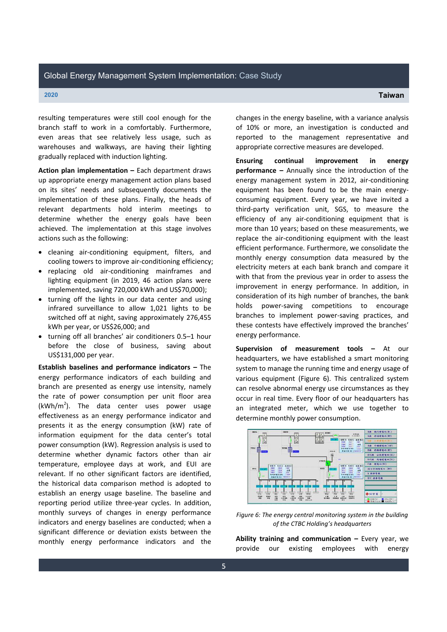resulting temperatures were still cool enough for the branch staff to work in a comfortably. Furthermore, even areas that see relatively less usage, such as warehouses and walkways, are having their lighting gradually replaced with induction lighting.

**Action plan implementation** – Each department draws up appropriate energy management action plans based on its sites' needs and subsequently documents the implementation of these plans. Finally, the heads of relevant departments hold interim meetings to determine whether the energy goals have been achieved. The implementation at this stage involves actions such as the following:

- cleaning air-conditioning equipment, filters, and cooling towers to improve air-conditioning efficiency;
- x replacing old air-conditioning mainframes and lighting equipment (in 2019, 46 action plans were implemented, saving 720,000 kWh and US\$70,000);
- turning off the lights in our data center and using infrared surveillance to allow 1,021 lights to be switched off at night, saving approximately 276,455 kWh per year, or US\$26,000; and
- turning off all branches' air conditioners 0.5-1 hour before the close of business, saving about US\$131,000 per year.

**Establish baselines and performance indicators - The** energy performance indicators of each building and branch are presented as energy use intensity, namely the rate of power consumption per unit floor area  $(kWh/m<sup>2</sup>)$ . The data center uses power usage effectiveness as an energy performance indicator and presents it as the energy consumption (kW) rate of information equipment for the data center's total power consumption (kW). Regression analysis is used to determine whether dynamic factors other than air temperature, employee days at work, and EUI are relevant. If no other significant factors are identified, the historical data comparison method is adopted to establish an energy usage baseline. The baseline and reporting period utilize three-year cycles. In addition, monthly surveys of changes in energy performance indicators and energy baselines are conducted; when a significant difference or deviation exists between the monthly energy performance indicators and the

changes in the energy baseline, with a variance analysis of 10% or more, an investigation is conducted and reported to the management representative and appropriate corrective measures are developed.

**Ensuring continual improvement in energy performance -** Annually since the introduction of the energy management system in 2012, air-conditioning equipment has been found to be the main energyconsuming equipment. Every year, we have invited a third-party verification unit, SGS, to measure the efficiency of any air-conditioning equipment that is more than 10 years; based on these measurements, we replace the air-conditioning equipment with the least efficient performance. Furthermore, we consolidate the monthly energy consumption data measured by the electricity meters at each bank branch and compare it with that from the previous year in order to assess the improvement in energy performance. In addition, in consideration of its high number of branches, the bank holds power-saving competitions to encourage branches to implement power-saving practices, and these contests have effectively improved the branches' energy performance.

**Supervision of measurement tools - At our** headquarters, we have established a smart monitoring system to manage the running time and energy usage of various equipment (Figure 6). This centralized system can resolve abnormal energy use circumstances as they occur in real time. Every floor of our headquarters has an integrated meter, which we use together to determine monthly power consumption.



*Figure 6: The energy central monitoring system in the building of the CTBC Holding͛s headquarters*

**Ability training and communication** – Every year, we provide our existing employees with energy